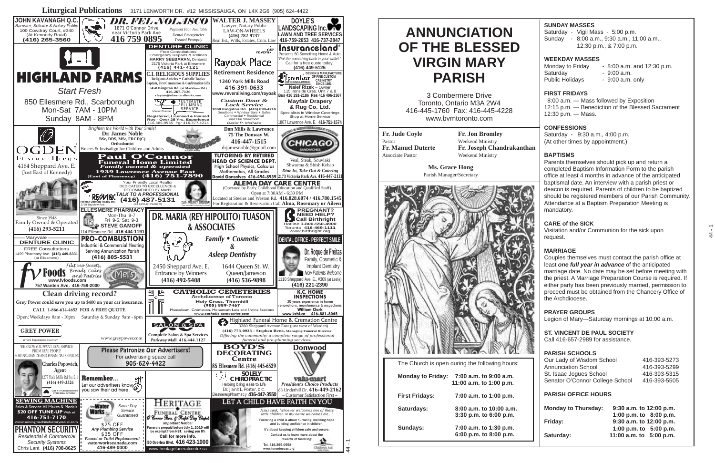# **ANNUNCIATION OF THE BLESSED VIRGIN MARY PARISH**

3 Combermere Drive Toronto, Ontario M3A 2W4 416-445-1760 Fax: 416-445-4228 www.bvmtoronto.com

**Fr. Jude Coyle** Pastor **Fr. Manuel Duterte** Associate Pastor

**Fr. Jon Bromley** Weekend Ministry **Fr. Joseph Chandrakanthan** Weekend Ministry

**Ms. Grace Hong** Parish Manager/Secretary



The Church is open during the following hours:

| <b>Monday to Friday:</b> | 7:00 a.m. to 9:00 a.m.<br>11:00 a.m. to 1:00 p.m. |
|--------------------------|---------------------------------------------------|
| <b>First Fridays:</b>    | 7:00 a.m. to 1:00 p.m.                            |
| Saturdays:               | 8:00 a.m. to 10:00 a.m.<br>3:30 p.m. to 6:00 p.m. |
| Sundays:                 | 7:00 a.m. to 1:30 p.m.<br>6:00 p.m. to 8:00 p.m.  |

### **SUNDAY MASSES**

Saturday - Vigil Mass - 5:00 p.m. Sunday - 8:00 a.m., 9:30 a.m., 11:00 a.m., 12:30 p.m., & 7:00 p.m.

### **WEEKDAY MASSES**

Monday to Friday  $\qquad 8:00$  a.m. and 12:30 p.m. Saturday - 9:00 a.m. Public Holidays - 9:00 a.m. only

### **FIRST FRIDAYS**

 8:00 a.m. — Mass followed by Exposition 12:15 p.m. — Benediction of the Blessed Sacrament 12:30 p.m. — Mass.

### **CONFESSIONS**

Saturday - 9:30 a.m., 4:00 p.m. (At other times by appointment.)

### **BAPTISMS**

Parents themselves should pick up and return a completed Baptism Information Form to the parish office at least 4 months in advance of the anticipated baptismal date. An interview with a parish priest or deacon is required. Parents of children to be baptized should be registered members of our Parish Community. Attendance at a Baptism Preparation Meeting is mandatory.

#### **CARE of the SICK**

Visitation and/or Communion for the sick upon request.

### **MARRIAGE**

Couples themselves must contact the parish office at least *one full year in advance* of the anticipated marriage date. No date may be set before meeting with the priest. A Marriage Preparation Course is required. If either party has been previously married, permission to proceed must be obtained from the Chancery Office of the Archdiocese.

#### **PRAYER GROUPS**

Legion of Mary—Saturday mornings at 10:00 a.m.

### **ST. VINCENT DE PAUL SOCIETY**

Call 416-657-2989 for assistance.

### **PARISH SCHOOLS**

| Our Lady of Wisdom School       | 416-393-5273 |
|---------------------------------|--------------|
| Annunciation School             | 416-393-5299 |
| St. Isaac Jogues School         | 416-393-5315 |
| Senator O'Connor College School | 416-393-5505 |

#### **PARISH OFFICE HOURS**

| <b>Monday to Thursday:</b> | 9:30 a.m. to 12:00 p.m.   |
|----------------------------|---------------------------|
|                            | 1:00 p.m. to 8:00 p.m.    |
| Friday:                    | 9:30 a.m. to 12:00 p.m.   |
|                            | 1:00 p.m. to $5:00$ p.m.  |
| Saturday:                  | 11:00 a.m. to $5:00$ p.m. |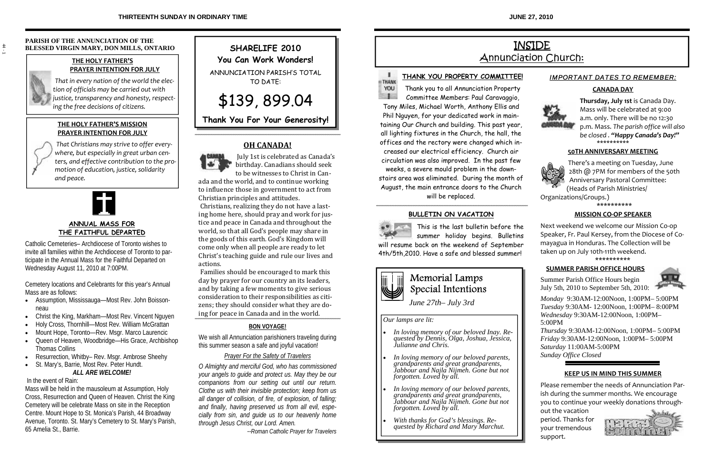### **PARISH OF THE ANNUNCIATION OF THE BLESSED VIRGIN MARY, DON MILLS, ONTARIO**

## **THE HOLY FATHER'S PRAYER INTENTION FOR JULY**

*That in every nation of the world the elec‐ tion of officials may be carried out with justice, transparency and honesty, respect‐ ing the free decisions of citizens.*

## **THE HOLY FATHER'S MISSION PRAYER INTENTION FOR JULY**

 *That Christians may strive to offer every‐ where, but especially in great urban cen‐ ters, and effective contribution to the pro‐ motion of education, justice, solidarity and peace.*



## **ANNUAL MASS FOR THE FAITHFUL DEPARTED**

Catholic Cemeteries– Archdiocese of Toronto wishes to invite all families within the Archdiocese of Toronto to participate in the Annual Mass for the Faithful Departed on Wednesday August 11, 2010 at 7:00PM.

Cemetery locations and Celebrants for this year's Annual Mass are as follows:

- Assumption, Mississauga—Most Rev. John Boissonneau
- Christ the King, Markham—Most Rev. Vincent Nguyen
- Holy Cross, Thornhill—Most Rev. William McGrattan
- Mount Hope, Toronto—Rev. Msgr. Marco Laurencic
- Queen of Heaven, Woodbridge—His Grace, Archbishop Thomas Collins
- Resurrection, Whitby– Rev. Msgr. Ambrose Sheehy

## • St. Mary's, Barrie, Most Rev. Peter Hundt. *ALL ARE WELCOME!*

In the event of Rain:

Mass will be held in the mausoleum at Assumption, Holy Cross, Resurrection and Queen of Heaven. Christ the King Cemetery will be celebrate Mass on site in the Reception Centre. Mount Hope to St. Monica's Parish, 44 Broadway Avenue, Toronto. St. Mary's Cemetery to St. Mary's Parish, 65 Amelia St., Barrie.

# **SHARELIFE 2010**

**You Can Work Wonders!** 

ANNUNCIATION PARISH'S TOTAL TO DATE:

\$139, 899.04

**Thank You For Your Generosity!** 

## **OH CANADA!**



 July 1st is celebrated as Canada's birthday. Canadians should seek to be witnesses to Christ in Can‐

ada and the world, and to continue working to influence those in government to act from Christian principles and attitudes.

 Christians, realizing they do not have a last‐ ing home here, should pray and work for justice and peace in Canada and throughout the world, so that all God's people may share in the goods of this earth. God's Kingdom will come only when all people are ready to let Christ's teaching guide and rule our lives and actions.

 Families should be encouraged to mark this day by prayer for our country an its leaders, and by taking a few moments to give serious consideration to their responsibilities as citi‐ zens; they should consider what they are do‐ ing for peace in Canada and in the world.

## **BON VOYAGE!**

We wish all Annunciation parishioners traveling during this summer season a safe and joyful vacation!

## *Prayer For the Safety of Travelers*

*O Almighty and merciful God, who has commissioned your angels to guide and protect us. May they be our companions from our setting out until our return. Clothe us with their invisible protection; keep from us all danger of collision, of fire, of explosion, of falling; and finally, having preserved us from all evil, especially from sin, and guide us to our heavenly home through Jesus Christ, our Lord. Amen.* 

*--Roman Catholic Prayer for Travelers*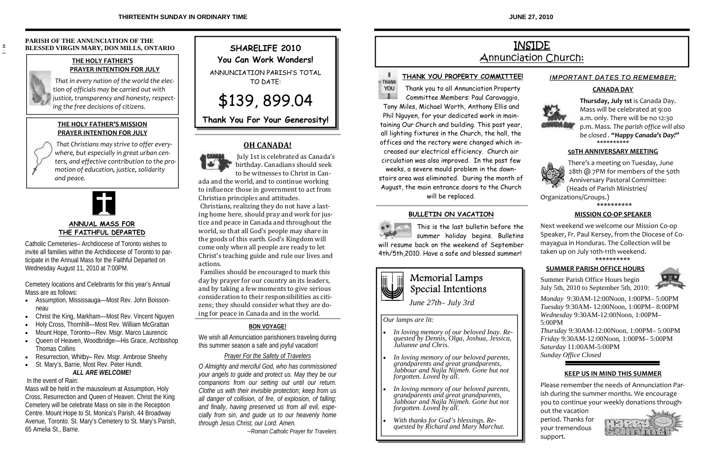**JUNE 27, 2010**

# INSIDE Annunciation Church:



## **THANK YOU PROPERTY COMMITTEE!**

Thank you to all Annunciation Property Committee Members: Paul Caravaggio,

Tony Miles, Michael Worth, Anthony Ellis and Phil Nguyen, for your dedicated work in maintaining Our Church and building. This past year, all lighting fixtures in the Church, the hall, the offices and the rectory were changed which increased our electrical efficiency. Church air circulation was also improved. In the past few weeks, a severe mould problem in the downstairs area was eliminated. During the month of August, the main entrance doors to the Church

will be replaced.

### **BULLETIN ON VACATION**

This is the last bulletin before the summer holiday begins. Bulletins will resume back on the weekend of September 4th/5th,2010. Have a safe and blessed summer!



## Memorial Lamps Special Intentions

*June 27th– July 3rd*

*Our lamps are lit:* 

- *In loving memory of our beloved Inay. Requested by Dennis, Olga, Joshua, Jessica, Julianne and Chris.*
- *In loving memory of our beloved parents, grandparents and great grandparents, Jabbour and Najla Nijmeh. Gone but not forgotten. Loved by all.*
- *In loving memory of our beloved parents, grandparents and great grandparents, Jabbour and Najla Nijmeh. Gone but not forgotten. Loved by all.*
- *With thanks for God's blessings. Requested by Richard and Mary Marchut.*

## *IMPORTANT DATES TO REMEMBER:*

## **CANADA DAY**



**Thursday, July 1st** is Canada Day. Mass will be celebrated at 9:00 a.m. only. There will be no 12:30 p.m. Mass. *The parish office will also be closed . "Happy Canada's Day!"*  \*\*\*\*\*\*\*\*\*\*

### **50TH ANNIVERSARY MEETING**



There's a meeting on Tuesday, June 28th @ 7PM for members of the 50th Anniversary Pastoral Committee: (Heads of Parish Ministries/

Organizations/Groups.)

\*\*\*\*\*\*\*\*\*\*

### **MISSION CO‐OP SPEAKER**

Next weekend we welcome our Mission Co‐op Speaker, Fr. Paul Kersey, from the Diocese of Co‐ mayagua in Honduras. The Collection will be taken up on July 10th‐11th weekend. \*\*\*\*\*\*\*\*\*\*

### **SUMMER PARISH OFFICE HOURS**

Summer Parish Office Hours begin July 5th, 2010 to September 5th, 2010:



*Monday* 9:30AM-12:00Noon, 1:00PM– 5:00PM *Tuesday* 9:30AM- 12:00Noon, 1:00PM– 8:00PM *Wednesday* 9:30AM-12:00Noon, 1:00PM– 5:00PM

*Thursday* 9:30AM-12:00Noon, 1:00PM– 5:00PM *Friday* 9:30AM-12:00Noon, 1:00PM– 5:00PM *Saturday* 11:00AM-5:00PM *Sunday Office Closed* 

### **KEEP US IN MIND THIS SUMMER**

Please remember the needs of Annunciation Par‐ish during the summer months. We encourage you to continue your weekly donations through‐

out the vacation period. Thanks for your tremendous support.